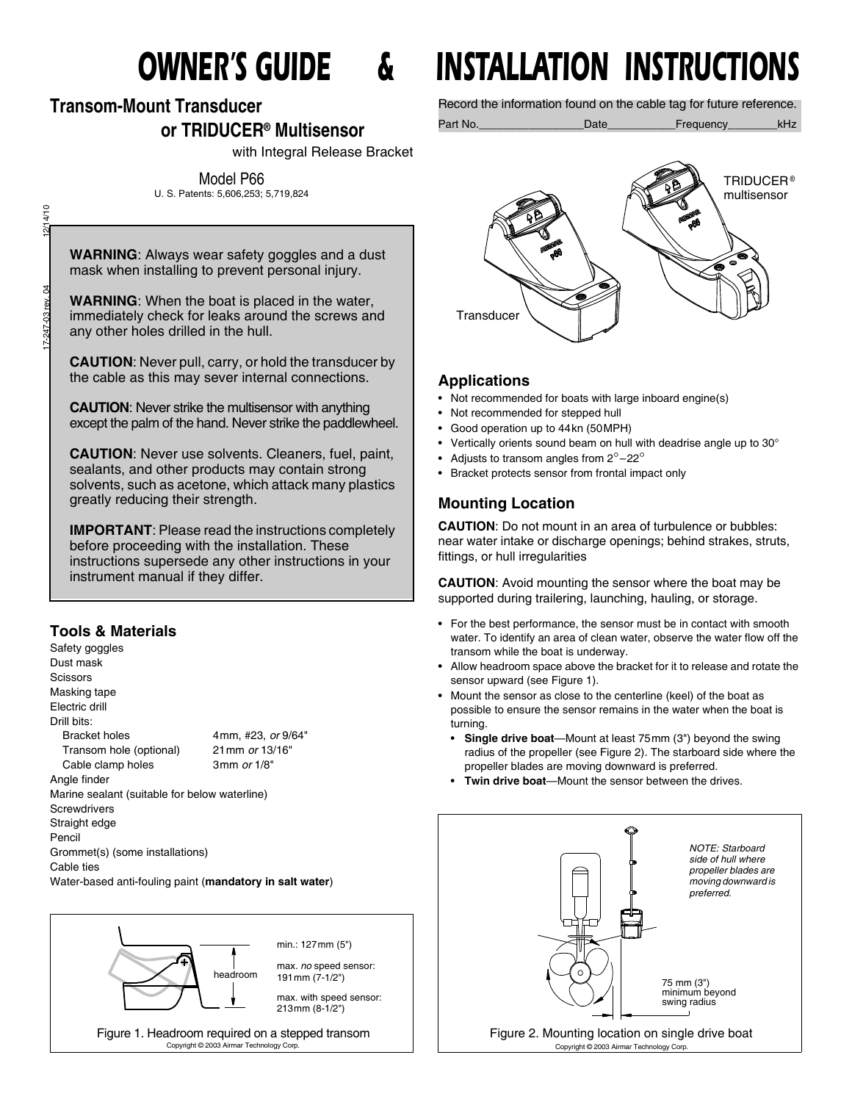# **Transom-Mount Transducer**

## **or TRIDUCER® Multisensor**

with Integral Release Bracket

Model P66

U. S. Patents: 5,606,253; 5,719,824

4/10 17-247-03 rev. 04 12/14/10 SO.

**WARNING**: Always wear safety goggles and a dust mask when installing to prevent personal injury.

**WARNING**: When the boat is placed in the water, immediately check for leaks around the screws and any other holes drilled in the hull.

**CAUTION**: Never pull, carry, or hold the transducer by the cable as this may sever internal connections.

**CAUTION**: Never strike the multisensor with anything except the palm of the hand. Never strike the paddlewheel.

**CAUTION**: Never use solvents. Cleaners, fuel, paint, sealants, and other products may contain strong solvents, such as acetone, which attack many plastics greatly reducing their strength.

**IMPORTANT**: Please read the instructions completely before proceeding with the installation. These instructions supersede any other instructions in your instrument manual if they differ.

#### **Tools & Materials**

Safety goggles Dust mask **Scissors** Masking tape Electric drill Drill bits: Bracket holes 4mm, #23, *or* 9/64" Transom hole (optional) 21mm *or* 13/16" Cable clamp holes 3mm *or* 1/8" Angle finder Marine sealant (suitable for below waterline) **Screwdrivers** Straight edge Pencil Grommet(s) (some installations) Cable ties Water-based anti-fouling paint (**mandatory in salt water**)



# *OWNER'S GUIDE & INSTALLATION INSTRUCTIONS*

Record the information found on the cable tag for future reference.

Part No.\_\_\_\_\_\_\_\_\_\_\_\_\_\_\_\_\_Date\_\_\_\_\_\_\_\_\_\_\_Frequency\_\_\_\_\_\_\_\_kHz



#### **Applications**

- Not recommended for boats with large inboard engine(s)
- Not recommended for stepped hull
- Good operation up to 44kn (50MPH)
- Vertically orients sound beam on hull with deadrise angle up to 30°
- Adjusts to transom angles from  $2^{\circ}$  -22 $^{\circ}$
- Bracket protects sensor from frontal impact only

### **Mounting Location**

**CAUTION**: Do not mount in an area of turbulence or bubbles: near water intake or discharge openings; behind strakes, struts, fittings, or hull irregularities

**CAUTION**: Avoid mounting the sensor where the boat may be supported during trailering, launching, hauling, or storage.

- For the best performance, the sensor must be in contact with smooth water. To identify an area of clean water, observe the water flow off the transom while the boat is underway.
- Allow headroom space above the bracket for it to release and rotate the sensor upward (see Figure 1).
- Mount the sensor as close to the centerline (keel) of the boat as possible to ensure the sensor remains in the water when the boat is turning.
	- **Single drive boat**—Mount at least 75mm (3") beyond the swing radius of the propeller (see Figure 2). The starboard side where the propeller blades are moving downward is preferred.
	- **Twin drive boat**—Mount the sensor between the drives.

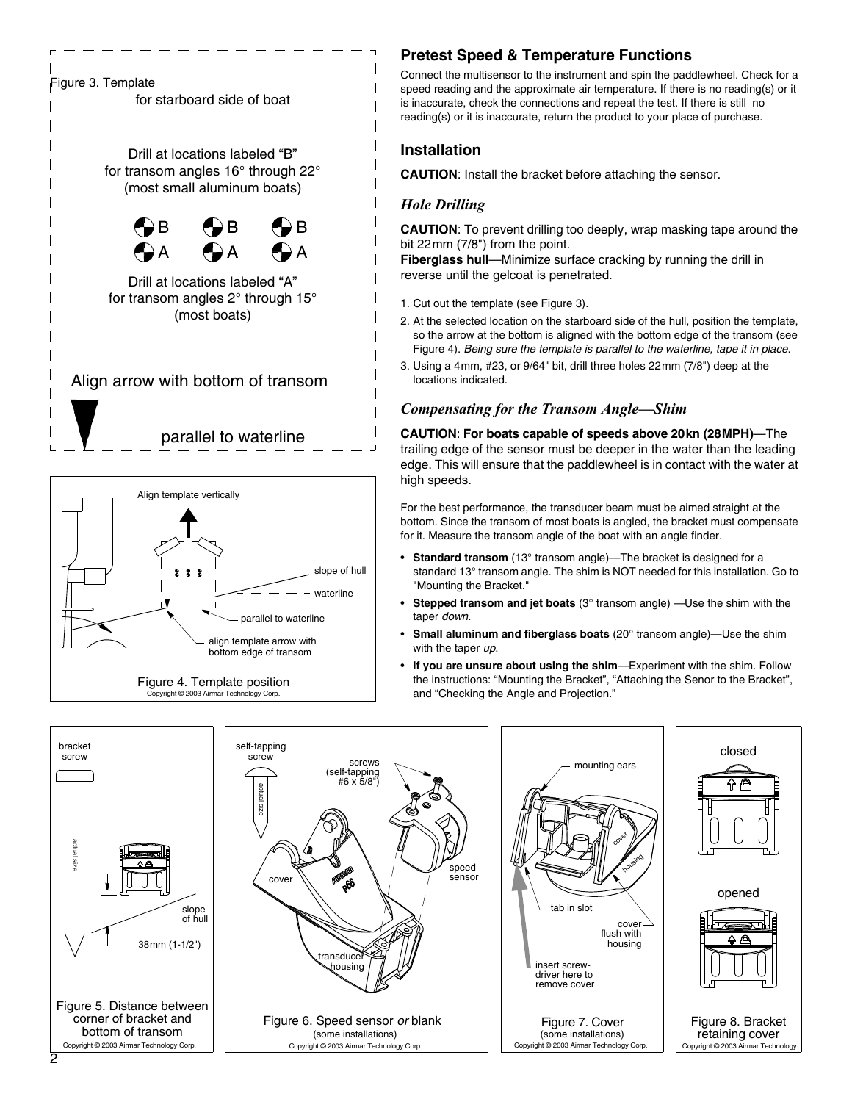



Copyright © 2003 Airmar Technology Corp.

#### **Pretest Speed & Temperature Functions**

Connect the multisensor to the instrument and spin the paddlewheel. Check for a speed reading and the approximate air temperature. If there is no reading(s) or it is inaccurate, check the connections and repeat the test. If there is still no reading(s) or it is inaccurate, return the product to your place of purchase.

#### **Installation**

**CAUTION**: Install the bracket before attaching the sensor.

#### *Hole Drilling*

**CAUTION**: To prevent drilling too deeply, wrap masking tape around the bit 22mm (7/8") from the point.

**Fiberglass hull**—Minimize surface cracking by running the drill in reverse until the gelcoat is penetrated.

- 1. Cut out the template (see Figure 3).
- 2. At the selected location on the starboard side of the hull, position the template, so the arrow at the bottom is aligned with the bottom edge of the transom (see Figure 4). *Being sure the template is parallel to the waterline, tape it in place*.
- 3. Using a 4mm, #23, or 9/64" bit, drill three holes 22mm (7/8") deep at the locations indicated.

#### *Compensating for the Transom Angle—Shim*

**CAUTION**: **For boats capable of speeds above 20kn (28MPH)**—The trailing edge of the sensor must be deeper in the water than the leading edge. This will ensure that the paddlewheel is in contact with the water at high speeds.

For the best performance, the transducer beam must be aimed straight at the bottom. Since the transom of most boats is angled, the bracket must compensate for it. Measure the transom angle of the boat with an angle finder.

- **Standard transom** (13° transom angle)—The bracket is designed for a standard 13° transom angle. The shim is NOT needed for this installation. Go to "Mounting the Bracket."
- **Stepped transom and jet boats** (3° transom angle) —Use the shim with the taper *down*.
- **Small aluminum and fiberglass boats** (20° transom angle)—Use the shim with the taper *up*.
- **If you are unsure about using the shim**—Experiment with the shim. Follow the instructions: "Mounting the Bracket", "Attaching the Senor to the Bracket", and "Checking the Angle and Projection."

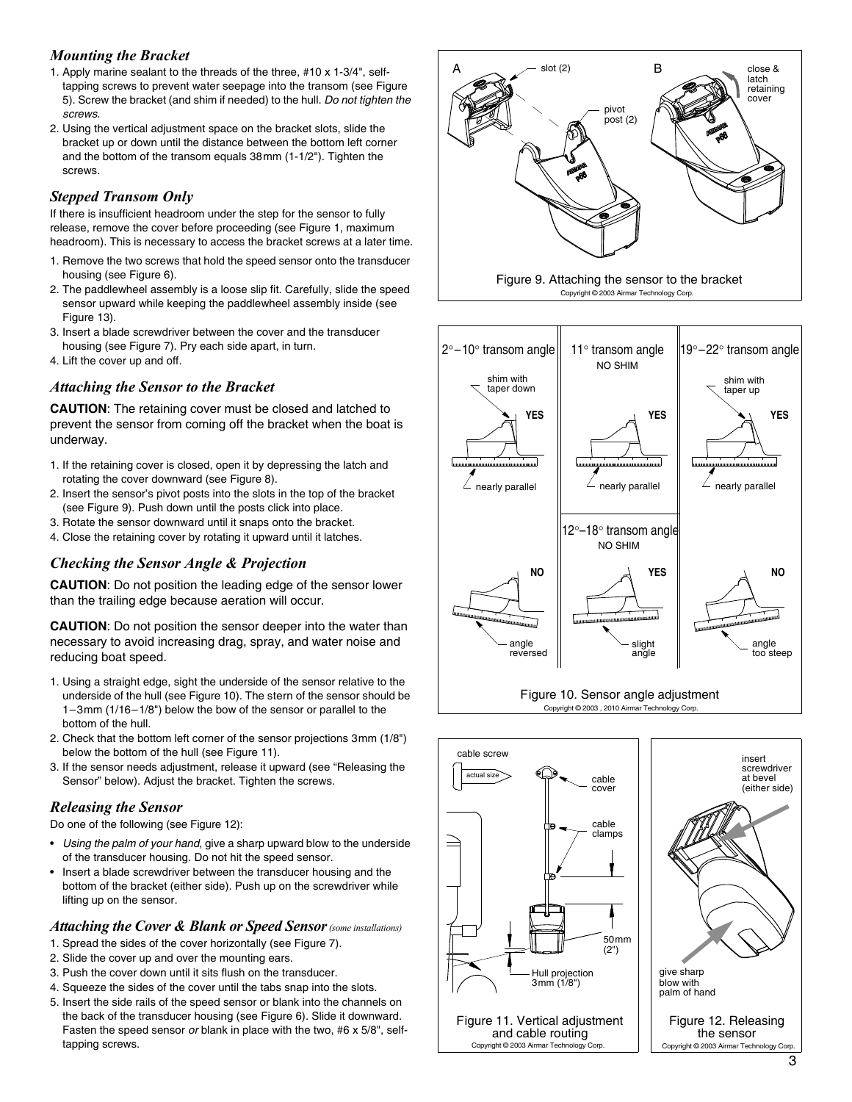#### *Mounting the Bracket*

- 1. Apply marine sealant to the threads of the three, #10 x 1-3/4", selftapping screws to prevent water seepage into the transom (see Figure 5). Screw the bracket (and shim if needed) to the hull. *Do not tighten the screws*.
- 2. Using the vertical adjustment space on the bracket slots, slide the bracket up or down until the distance between the bottom left corner and the bottom of the transom equals 38mm (1-1/2"). Tighten the screws.

#### *Stepped Transom Only*

If there is insufficient headroom under the step for the sensor to fully release, remove the cover before proceeding (see Figure 1, maximum headroom). This is necessary to access the bracket screws at a later time.

- 1. Remove the two screws that hold the speed sensor onto the transducer housing (see Figure 6).
- 2. The paddlewheel assembly is a loose slip fit. Carefully, slide the speed sensor upward while keeping the paddlewheel assembly inside (see Figure 13).
- 3. Insert a blade screwdriver between the cover and the transducer housing (see Figure 7). Pry each side apart, in turn.
- 4. Lift the cover up and off.

#### *Attaching the Sensor to the Bracket*

**CAUTION**: The retaining cover must be closed and latched to prevent the sensor from coming off the bracket when the boat is underway.

- 1. If the retaining cover is closed, open it by depressing the latch and rotating the cover downward (see Figure 8).
- 2. Insert the sensor's pivot posts into the slots in the top of the bracket (see Figure 9). Push down until the posts click into place.
- 3. Rotate the sensor downward until it snaps onto the bracket.
- 4. Close the retaining cover by rotating it upward until it latches.

#### *Checking the Sensor Angle & Projection*

**CAUTION**: Do not position the leading edge of the sensor lower than the trailing edge because aeration will occur.

**CAUTION**: Do not position the sensor deeper into the water than necessary to avoid increasing drag, spray, and water noise and reducing boat speed.

- 1. Using a straight edge, sight the underside of the sensor relative to the underside of the hull (see Figure 10). The stern of the sensor should be 1–3mm (1/16–1/8") below the bow of the sensor or parallel to the bottom of the hull.
- 2. Check that the bottom left corner of the sensor projections 3mm (1/8") below the bottom of the hull (see Figure 11).
- 3. If the sensor needs adjustment, release it upward (see "Releasing the Sensor" below). Adjust the bracket. Tighten the screws.

#### *Releasing the Sensor*

Do one of the following (see Figure 12):

- *Using the palm of your hand,* give a sharp upward blow to the underside of the transducer housing. Do not hit the speed sensor.
- Insert a blade screwdriver between the transducer housing and the bottom of the bracket (either side). Push up on the screwdriver while lifting up on the sensor.

#### *Attaching the Cover & Blank or Speed Sensor(some installations)*

- 1. Spread the sides of the cover horizontally (see Figure 7).
- 2. Slide the cover up and over the mounting ears.
- 3. Push the cover down until it sits flush on the transducer.
- 4. Squeeze the sides of the cover until the tabs snap into the slots.
- 5. Insert the side rails of the speed sensor or blank into the channels on the back of the transducer housing (see Figure 6). Slide it downward. Fasten the speed sensor *or* blank in place with the two, #6 x 5/8", selftapping screws.